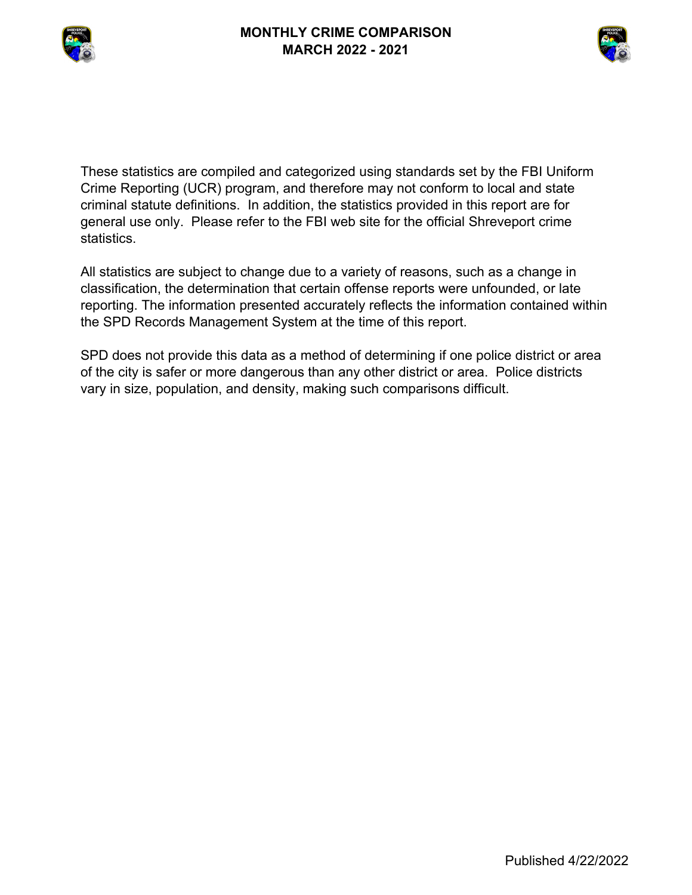



These statistics are compiled and categorized using standards set by the FBI Uniform Crime Reporting (UCR) program, and therefore may not conform to local and state criminal statute definitions. In addition, the statistics provided in this report are for general use only. Please refer to the FBI web site for the official Shreveport crime statistics.

All statistics are subject to change due to a variety of reasons, such as a change in classification, the determination that certain offense reports were unfounded, or late reporting. The information presented accurately reflects the information contained within the SPD Records Management System at the time of this report.

SPD does not provide this data as a method of determining if one police district or area of the city is safer or more dangerous than any other district or area. Police districts vary in size, population, and density, making such comparisons difficult.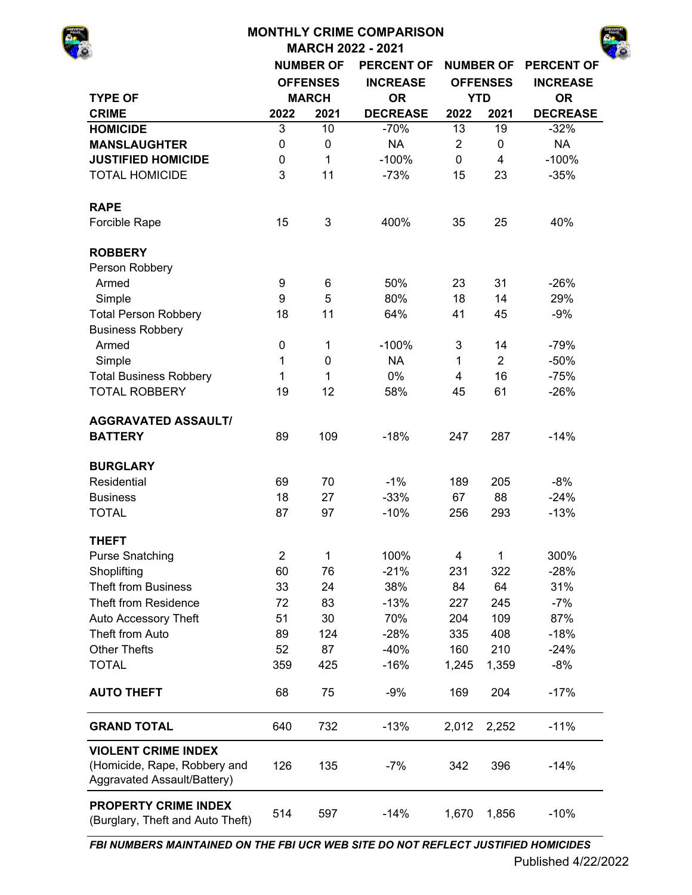# **MONTHLY CRIME COMPARISON MARCH 2022 - 2021 NUMBER OF PERCENT OF NUMBER OF PERCENT OF INCREASE INCREASE TYPE OF OR OR CRIME 2022 2021 DECREASE 2022 2021 DECREASE HOMICIDE** 3 10 -70% 13 19 -32% **MANSLAUGHTER** 0 0 NA 2 0 NA **JUSTIFIED HOMICIDE** 0 1 -100% 0 4 -100% TOTAL HOMICIDE  $\begin{array}{cccc} 3 & 11 & -73\% & 15 & 23 & -35\% \end{array}$ **RAPE** Forcible Rape 15 3 400% 35 25 40% **ROBBERY** Person Robbery Armed 9 6 50% 23 31 -26% Simple 9 5 80% 18 14 29% Total Person Robbery **18** 11 64% 41 45 -9% Business Robbery Armed 0 1 -100% 3 14 -79% Simple 1 0 NA 1 2 -50% Total Business Robbery 1 1 1 0% 4 16 -75% TOTAL ROBBERY 19 12 58% 45 61 -26% **AGGRAVATED ASSAULT/ BATTERY** 89 109 -18% 247 287 -14% **BURGLARY** Residential 69 70 -1% 189 205 -8% Business 18 27 -33% 67 88 -24% TOTAL 87 97 -10% 256 293 -13% **THEFT** Purse Snatching  $2 \qquad 1 \qquad 100\% \qquad 4 \qquad 1 \qquad 300\%$ Shoplifting 60 76 -21% 231 322 -28% Theft from Business 33 24 38% 84 64 31% Theft from Residence  $\frac{72}{2}$  83  $\frac{13}{2}$  227 245  $\frac{27}{2}$ Auto Accessory Theft 51 30 70% 204 109 87% Theft from Auto 89 124 -28% 335 408 -18% Other Thefts 52 87 -40% 160 210 -24% TOTAL 359 425 -16% 1,245 1,359 -8% **AUTO THEFT** 68 75 -9% 169 204 -17% **GRAND TOTAL** 640 732 -13% 2,012 2,252 -11% 126 135 -7% 342 396 -14% **VIOLENT CRIME INDEX**  (Homicide, Rape, Robbery and Aggravated Assault/Battery) **OFFENSES MARCH YTD**

514 597 -14% 1,670 1,856 -10% **PROPERTY CRIME INDEX**  (Burglary, Theft and Auto Theft)

*FBI NUMBERS MAINTAINED ON THE FBI UCR WEB SITE DO NOT REFLECT JUSTIFIED HOMICIDES*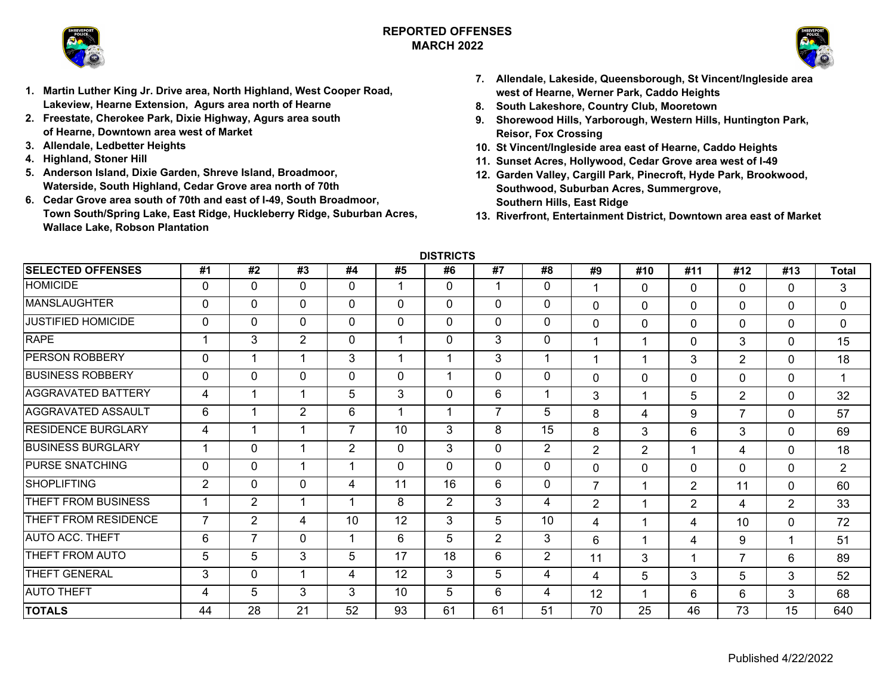

## **REPORTED OFFENSESMARCH 2022**



- **1. Martin Luther King Jr. Drive area, North Highland, West Cooper Road, Lakeview, Hearne Extension, Agurs area north of Hearne**
- **2. Freestate, Cherokee Park, Dixie Highway, Agurs area south of Hearne, Downtown area west of Market**
- **3. Allendale, Ledbetter Heights**
- **4. Highland, Stoner Hill**
- **5. Anderson Island, Dixie Garden, Shreve Island, Broadmoor, Waterside, South Highland, Cedar Grove area north of 70th**
- **6. Cedar Grove area south of 70th and east of I-49, South Broadmoor, Town South/Spring Lake, East Ridge, Huckleberry Ridge, Suburban Acres, Wallace Lake, Robson Plantation**
- **7. Allendale, Lakeside, Queensborough, St Vincent/Ingleside area west of Hearne, Werner Park, Caddo Heights**
- **8. South Lakeshore, Country Club, Mooretown**
- **9. Shorewood Hills, Yarborough, Western Hills, Huntington Park, Reisor, Fox Crossing**
- **10. St Vincent/Ingleside area east of Hearne, Caddo Heights**
- **11. Sunset Acres, Hollywood, Cedar Grove area west of I-49**
- **12. Garden Valley, Cargill Park, Pinecroft, Hyde Park, Brookwood, Southwood, Suburban Acres, Summergrove, Southern Hills, East Ridge**
- **13. Riverfront, Entertainment District, Downtown area east of Market**

**DISTRICTS**

| <b>SELECTED OFFENSES</b>  | #1             | #2             | #3           | #4             | #5           | #6             | #7             | #8             | #9             | #10      | #11            | #12            | #13          | <b>Total</b>   |
|---------------------------|----------------|----------------|--------------|----------------|--------------|----------------|----------------|----------------|----------------|----------|----------------|----------------|--------------|----------------|
| <b>HOMICIDE</b>           | 0              | $\mathbf 0$    | $\mathbf 0$  | 0              | 1            | $\mathbf 0$    |                | 0              |                | $\Omega$ | 0              | $\Omega$       | $\Omega$     | 3              |
| <b>MANSLAUGHTER</b>       | 0              | 0              | $\mathbf{0}$ | 0              | $\mathbf{0}$ | $\mathbf{0}$   | $\mathbf{0}$   | $\Omega$       | $\mathbf 0$    | $\Omega$ | 0              | $\Omega$       | $\mathbf 0$  | 0              |
| <b>JUSTIFIED HOMICIDE</b> | 0              | 0              | $\mathbf{0}$ | $\Omega$       | $\mathbf{0}$ | $\mathbf{0}$   | 0              | 0              | $\mathbf 0$    | $\Omega$ | $\Omega$       | $\mathbf 0$    | $\mathbf 0$  | 0              |
| <b>RAPE</b>               |                | 3              | 2            | $\Omega$       |              | $\mathbf 0$    | 3              | 0              |                | 1        | $\Omega$       | 3              | $\mathbf{0}$ | 15             |
| <b>PERSON ROBBERY</b>     | 0              | 1              | 1            | 3              |              | 1              | 3              | 1              |                | 1        | 3              | $\overline{2}$ | $\mathbf{0}$ | 18             |
| <b>BUSINESS ROBBERY</b>   | $\mathbf 0$    | 0              | $\mathbf 0$  | 0              | $\mathbf 0$  | 1              | 0              | 0              | $\Omega$       | $\Omega$ | $\Omega$       | $\Omega$       | $\Omega$     | 1              |
| <b>AGGRAVATED BATTERY</b> | 4              | 1              | 1            | 5              | 3            | $\Omega$       | 6              |                | 3              | 1        | 5              | $\overline{2}$ | $\mathbf 0$  | 32             |
| AGGRAVATED ASSAULT        | 6              | 1              | 2            | 6              |              | 1              | 7              | 5              | 8              | 4        | 9              | $\overline{7}$ | $\mathbf{0}$ | 57             |
| <b>RESIDENCE BURGLARY</b> | 4              | 1              | 1            | ⇁              | 10           | 3              | 8              | 15             | 8              | 3        | 6              | 3              | $\Omega$     | 69             |
| <b>BUSINESS BURGLARY</b>  |                | 0              | 1            | $\overline{2}$ | $\mathbf 0$  | 3              | 0              | $\overline{2}$ | $\overline{2}$ | 2        | 1              | 4              | $\mathbf{0}$ | 18             |
| <b>PURSE SNATCHING</b>    | 0              | $\mathbf 0$    | 1            |                | $\mathbf{0}$ | $\mathbf{0}$   | 0              | 0              | $\mathbf 0$    | $\Omega$ | $\Omega$       | 0              | $\mathbf 0$  | $\overline{2}$ |
| <b>SHOPLIFTING</b>        | 2              | 0              | $\mathbf{0}$ | 4              | 11           | 16             | 6              | 0              | $\overline{7}$ | 1        | $\overline{2}$ | 11             | $\mathbf{0}$ | 60             |
| THEFT FROM BUSINESS       |                | $\overline{2}$ | 1            |                | 8            | $\overline{2}$ | 3              | 4              | $\overline{2}$ | 1        | 2              | 4              | 2            | 33             |
| THEFT FROM RESIDENCE      | $\overline{7}$ | $\overline{2}$ | 4            | 10             | 12           | 3              | 5              | 10             | $\overline{4}$ | 1        | 4              | 10             | $\mathbf{0}$ | 72             |
| <b>AUTO ACC. THEFT</b>    | 6              | 7              | $\mathbf{0}$ |                | 6            | 5              | $\overline{2}$ | 3              | 6              | 1        | 4              | 9              | 1            | 51             |
| THEFT FROM AUTO           | 5              | 5              | 3            | 5              | 17           | 18             | 6              | $\overline{2}$ | 11             | 3        | 1              | $\overline{7}$ | 6            | 89             |
| THEFT GENERAL             | 3              | 0              | 1            | 4              | 12           | 3              | 5              | 4              | $\overline{4}$ | 5        | 3              | 5              | 3            | 52             |
| <b>AUTO THEFT</b>         | 4              | 5              | 3            | 3              | 10           | 5              | 6              | 4              | 12             | 1        | 6              | 6              | 3            | 68             |
| <b>TOTALS</b>             | 44             | 28             | 21           | 52             | 93           | 61             | 61             | 51             | 70             | 25       | 46             | 73             | 15           | 640            |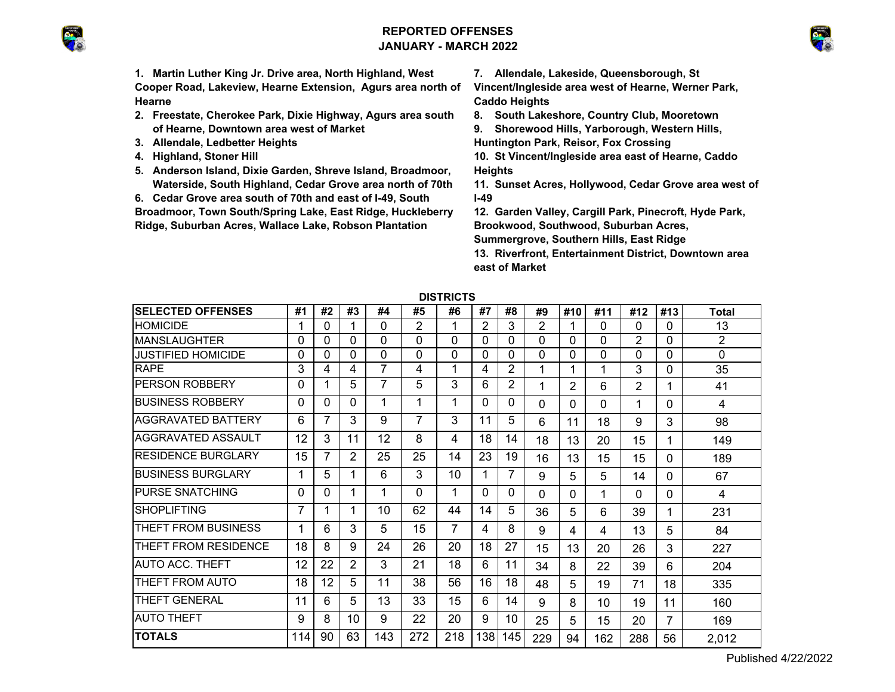## **REPORTED OFFENSESJANUARY - MARCH 2022**





**1. Martin Luther King Jr. Drive area, North Highland, West Cooper Road, Lakeview, Hearne Extension, Agurs area north of Hearne**

- **2. Freestate, Cherokee Park, Dixie Highway, Agurs area south of Hearne, Downtown area west of Market**
- **3. Allendale, Ledbetter Heights**
- **4. Highland, Stoner Hill**
- **5. Anderson Island, Dixie Garden, Shreve Island, Broadmoor, Waterside, South Highland, Cedar Grove area north of 70th**
- **6. Cedar Grove area south of 70th and east of I-49, South**

**Broadmoor, Town South/Spring Lake, East Ridge, Huckleberry Ridge, Suburban Acres, Wallace Lake, Robson Plantation** 

**7. Allendale, Lakeside, Queensborough, St** 

**Vincent/Ingleside area west of Hearne, Werner Park, Caddo Heights**

**8. South Lakeshore, Country Club, Mooretown**

**9. Shorewood Hills, Yarborough, Western Hills,** 

**Huntington Park, Reisor, Fox Crossing**

- **10. St Vincent/Ingleside area east of Hearne, Caddo Heights**
- **11. Sunset Acres, Hollywood, Cedar Grove area west of I-49**
- **12. Garden Valley, Cargill Park, Pinecroft, Hyde Park, Brookwood, Southwood, Suburban Acres, Summergrove, Southern Hills, East Ridge**

**13. Riverfront, Entertainment District, Downtown area east of Market**

| <b>PRINCIP</b>            |     |    |    |                |     |     |          |                |     |                |     |          |     |                |
|---------------------------|-----|----|----|----------------|-----|-----|----------|----------------|-----|----------------|-----|----------|-----|----------------|
| <b>SELECTED OFFENSES</b>  | #1  | #2 | #3 | #4             | #5  | #6  | #7       | #8             | #9  | #10            | #11 | #12      | #13 | Total          |
| <b>HOMICIDE</b>           | 1   | 0  |    | 0              | 2   | 1   | 2        | 3              | 2   |                | 0   | $\Omega$ | 0   | 13             |
| <b>MANSLAUGHTER</b>       | 0   | 0  | 0  | 0              | 0   | 0   | $\Omega$ | 0              | 0   | 0              | 0   | 2        | 0   | $\overline{2}$ |
| <b>JUSTIFIED HOMICIDE</b> | 0   | 0  | 0  | 0              | 0   | 0   | 0        | $\Omega$       | 0   | 0              | 0   | 0        | 0   | 0              |
| <b>RAPE</b>               | 3   | 4  | 4  | $\overline{7}$ | 4   | 1   | 4        | $\overline{2}$ | 1   | 1              | 1   | 3        | 0   | 35             |
| <b>PERSON ROBBERY</b>     | 0   | 1  | 5  | 7              | 5   | 3   | 6        | 2              | 1   | $\overline{2}$ | 6   | 2        | 1   | 41             |
| BUSINESS ROBBERY          | 0   | 0  | 0  | 1              |     | 1   | $\Omega$ | $\Omega$       | 0   | 0              | 0   | 1        | 0   | 4              |
| <b>AGGRAVATED BATTERY</b> | 6   | 7  | 3  | 9              | 7   | 3   | 11       | 5              | 6   | 11             | 18  | 9        | 3   | 98             |
| AGGRAVATED ASSAULT        | 12  | 3  | 11 | 12             | 8   | 4   | 18       | 14             | 18  | 13             | 20  | 15       | 1   | 149            |
| <b>RESIDENCE BURGLARY</b> | 15  | 7  | 2  | 25             | 25  | 14  | 23       | 19             | 16  | 13             | 15  | 15       | 0   | 189            |
| <b>BUSINESS BURGLARY</b>  | 1   | 5  | 1  | 6              | 3   | 10  |          | 7              | 9   | 5              | 5   | 14       | 0   | 67             |
| <b>PURSE SNATCHING</b>    | 0   | 0  | 1  | 1              | 0   | 1   | $\Omega$ | 0              | 0   | $\Omega$       | 1   | $\Omega$ | 0   | 4              |
| <b>SHOPLIFTING</b>        | 7   | 1  | 1  | 10             | 62  | 44  | 14       | 5              | 36  | 5              | 6   | 39       | 1   | 231            |
| THEFT FROM BUSINESS       | 1   | 6  | 3  | 5              | 15  | 7   | 4        | 8              | 9   | 4              | 4   | 13       | 5   | 84             |
| THEFT FROM RESIDENCE      | 18  | 8  | 9  | 24             | 26  | 20  | 18       | 27             | 15  | 13             | 20  | 26       | 3   | 227            |
| <b>AUTO ACC. THEFT</b>    | 12  | 22 | 2  | 3              | 21  | 18  | 6        | 11             | 34  | 8              | 22  | 39       | 6   | 204            |
| THEFT FROM AUTO           | 18  | 12 | 5  | 11             | 38  | 56  | 16       | 18             | 48  | 5              | 19  | 71       | 18  | 335            |
| <b>THEFT GENERAL</b>      | 11  | 6  | 5  | 13             | 33  | 15  | 6        | 14             | 9   | 8              | 10  | 19       | 11  | 160            |
| <b>AUTO THEFT</b>         | 9   | 8  | 10 | 9              | 22  | 20  | 9        | 10             | 25  | 5              | 15  | 20       | 7   | 169            |
| <b>TOTALS</b>             | 114 | 90 | 63 | 143            | 272 | 218 | 138      | 145            | 229 | 94             | 162 | 288      | 56  | 2,012          |

**DISTRICTS**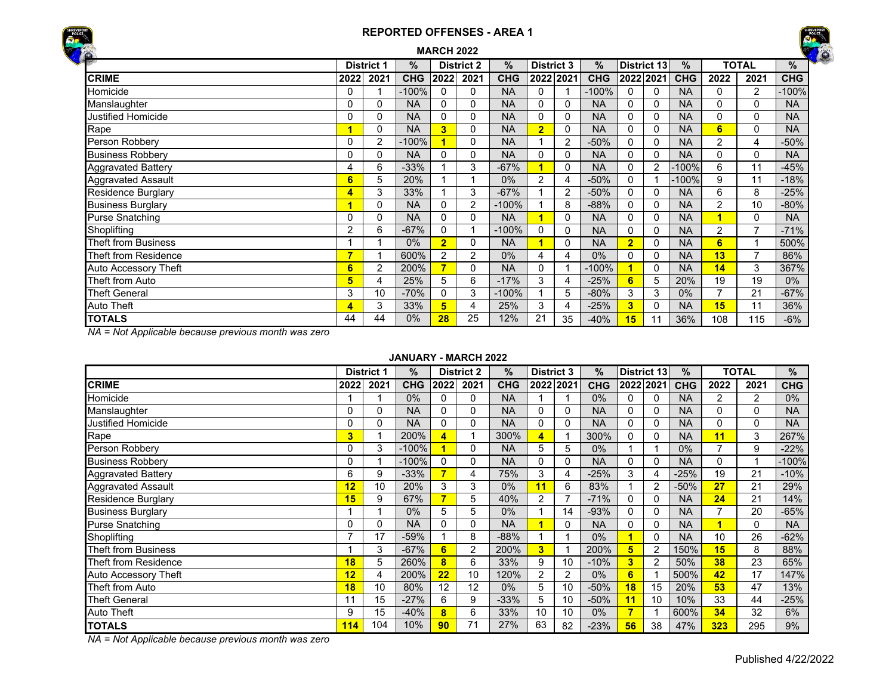## **REPORTED OFFENSES - AREA 1MARCH 2022**





| <b>TOTAL</b><br><b>District 1</b><br>%<br>$\%$<br><b>District 3</b><br>District 13<br>%<br><b>District 2</b><br>$\%$<br>$\%$ |                          |      |            |                |      |            |                |                |            |                         |           |            |                |                |            |
|------------------------------------------------------------------------------------------------------------------------------|--------------------------|------|------------|----------------|------|------------|----------------|----------------|------------|-------------------------|-----------|------------|----------------|----------------|------------|
| $\mathbf{r}$                                                                                                                 |                          |      |            |                |      |            |                |                |            |                         |           |            |                |                |            |
| <b>CRIME</b>                                                                                                                 | 2022                     | 2021 | <b>CHG</b> | 2022           | 2021 | <b>CHG</b> |                | 2022 2021      | <b>CHG</b> |                         | 2022 2021 | <b>CHG</b> | 2022           | 2021           | <b>CHG</b> |
| Homicide                                                                                                                     |                          |      | $-100%$    | 0              | 0    | <b>NA</b>  | 0              |                | $-100%$    | 0                       | 0         | <b>NA</b>  | 0              | 2              | 100%       |
| Manslaughter                                                                                                                 | 0                        | 0    | <b>NA</b>  | 0              | 0    | <b>NA</b>  | 0              |                | <b>NA</b>  | 0                       | 0         | <b>NA</b>  | 0              | 0              | <b>NA</b>  |
| <b>Justified Homicide</b>                                                                                                    |                          | 0    | <b>NA</b>  | 0              | 0    | <b>NA</b>  | 0              |                | <b>NA</b>  | $\Omega$                | 0         | <b>NA</b>  | 0              | 0              | <b>NA</b>  |
| Rape                                                                                                                         |                          | 0    | <b>NA</b>  | 3              | 0    | <b>NA</b>  | $\overline{2}$ | 0              | <b>NA</b>  | 0                       | 0         | <b>NA</b>  | 6              | $\Omega$       | <b>NA</b>  |
| Person Robbery                                                                                                               | 0                        | 2    | $-100%$    |                | 0    | <b>NA</b>  |                | $\overline{2}$ | $-50%$     | 0                       |           | <b>NA</b>  | $\overline{2}$ | 4              | $-50%$     |
| <b>Business Robbery</b>                                                                                                      | 0                        | 0    | <b>NA</b>  | 0              | 0    | <b>NA</b>  | 0              |                | <b>NA</b>  | $\Omega$                |           | <b>NA</b>  | 0              | $\Omega$       | <b>NA</b>  |
| <b>Aggravated Battery</b>                                                                                                    | 4                        | 6    | $-33%$     |                | 3    | $-67%$     |                |                | <b>NA</b>  | 0                       | 2         | $-100%$    | 6              | 11             | $-45%$     |
| <b>Aggravated Assault</b>                                                                                                    | $6 \overline{}$          | 5    | 20%        |                |      | 0%         | 2              | 4              | $-50%$     | $\Omega$                |           | $-100%$    | 9              | 11             | $-18%$     |
| <b>Residence Burglary</b>                                                                                                    | 4                        | 3    | 33%        |                | 3    | $-67%$     |                | 2              | $-50%$     | 0                       |           | <b>NA</b>  | 6              | 8              | $-25%$     |
| <b>Business Burglary</b>                                                                                                     |                          | 0    | <b>NA</b>  | 0              | 2    | $-100%$    |                | 8              | $-88%$     | $\mathbf{0}$            | 0         | <b>NA</b>  | 2              | 10             | $-80%$     |
| <b>Purse Snatching</b>                                                                                                       | 0                        | 0    | <b>NA</b>  | 0              | 0    | <b>NA</b>  |                |                | <b>NA</b>  | 0                       | 0         | <b>NA</b>  |                | $\Omega$       | <b>NA</b>  |
| Shoplifting                                                                                                                  | 2                        | 6    | $-67%$     | 0              |      | $-100%$    | 0              | 0              | <b>NA</b>  | $\mathbf{0}$            | 0         | <b>NA</b>  | $\overline{2}$ |                | $-71%$     |
| <b>Theft from Business</b>                                                                                                   |                          |      | 0%         | $\overline{2}$ | 0    | <b>NA</b>  |                |                | <b>NA</b>  | $\overline{2}$          | 0         | <b>NA</b>  | 6              |                | 500%       |
| Theft from Residence                                                                                                         | $\overline{\phantom{a}}$ |      | 600%       | 2              | 2    | 0%         | 4              | 4              | 0%         | $\Omega$                |           | <b>NA</b>  | 13             | $\overline{ }$ | 86%        |
| Auto Accessory Theft                                                                                                         | 6                        | 2    | 200%       | 7              | 0    | <b>NA</b>  | 0              |                | $-100%$    | $\overline{\mathbf{1}}$ | $\Omega$  | <b>NA</b>  | 14             | 3              | 367%       |
| Theft from Auto                                                                                                              | 5                        | 4    | 25%        | 5              | 6    | $-17%$     | 3              |                | $-25%$     | 6                       | 5         | 20%        | 19             | 19             | $0\%$      |
| <b>Theft General</b>                                                                                                         | 3                        | 10   | $-70%$     | 0              | 3    | $-100%$    |                | 5              | $-80%$     | 3                       | 3         | $0\%$      |                | 21             | $-67%$     |
| <b>Auto Theft</b>                                                                                                            | 4                        | 3    | 33%        | 5              | 4    | 25%        | 3              |                | $-25%$     | $\overline{\mathbf{3}}$ |           | <b>NA</b>  | 15             | 11             | 36%        |
| <b>TOTALS</b>                                                                                                                | 44                       | 44   | 0%         | 28             | 25   | 12%        | 21             | 35             | $-40%$     | 15                      | 11        | 36%        | 108            | 115            | $-6%$      |

*NA = Not Applicable because previous month was zero*

#### **JANUARY - MARCH 2022**

|                             |      | <b>District 1</b> | %          |      | <b>District 2</b> | %          | <b>District 3</b> |              | %          |                 | <b>District 13</b> | $\%$       |      | TOTAL          | %          |
|-----------------------------|------|-------------------|------------|------|-------------------|------------|-------------------|--------------|------------|-----------------|--------------------|------------|------|----------------|------------|
| <b>CRIME</b>                | 2022 | 2021              | <b>CHG</b> | 2022 | 2021              | <b>CHG</b> | 2022 2021         |              | <b>CHG</b> | 2022 2021       |                    | <b>CHG</b> | 2022 | 2021           | <b>CHG</b> |
| Homicide                    |      |                   | 0%         |      | 0                 | <b>NA</b>  |                   |              | 0%         | 0               |                    | <b>NA</b>  | 2    | $\overline{2}$ | $0\%$      |
| Manslaughter                | 0    | 0                 | <b>NA</b>  | 0    | 0                 | <b>NA</b>  | 0                 |              | <b>NA</b>  | 0               |                    | <b>NA</b>  | 0    | $\Omega$       | <b>NA</b>  |
| Justified Homicide          | 0    | 0                 | <b>NA</b>  | 0    | 0                 | <b>NA</b>  | 0                 | 0            | <b>NA</b>  | 0               |                    | <b>NA</b>  | 0    | $\Omega$       | <b>NA</b>  |
| Rape                        | 3    |                   | 200%       | 4    |                   | 300%       | 4                 |              | 300%       | 0               |                    | <b>NA</b>  | 11   | 3              | 267%       |
| Person Robbery              | 0    | 3                 | $-100%$    |      | 0                 | <b>NA</b>  | 5                 | 5            | 0%         |                 |                    | 0%         |      | 9              | $-22%$     |
| <b>Business Robbery</b>     | 0    |                   | $-100%$    | 0    | 0                 | <b>NA</b>  | 0                 | 0            | <b>NA</b>  | 0               |                    | <b>NA</b>  | 0    |                | $-100%$    |
| <b>Aggravated Battery</b>   | 6    | 9                 | $-33%$     |      | 4                 | 75%        | 3                 | 4            | $-25%$     | 3               |                    | $-25%$     | 19   | 21             | $-10%$     |
| <b>Aggravated Assault</b>   | 12   | 10                | 20%        | 3    | 3                 | 0%         | 11                | 6            | 83%        |                 |                    | $-50%$     | 27   | 21             | 29%        |
| <b>Residence Burglary</b>   | 15   | 9                 | 67%        | 7    | 5                 | 40%        | $\overline{2}$    |              | $-71%$     | 0               |                    | <b>NA</b>  | 24   | 21             | 14%        |
| <b>Business Burglary</b>    |      |                   | $0\%$      | 5    | 5                 | 0%         |                   | 14           | $-93%$     | 0               |                    | <b>NA</b>  |      | 20             | $-65%$     |
| <b>Purse Snatching</b>      | 0    | 0                 | <b>NA</b>  |      | 0                 | <b>NA</b>  |                   | <sup>0</sup> | <b>NA</b>  | 0               |                    | <b>NA</b>  |      | 0              | <b>NA</b>  |
| Shoplifting                 |      | 17                | $-59%$     |      | 8                 | $-88%$     |                   |              | $0\%$      | $\blacksquare$  |                    | <b>NA</b>  | 10   | 26             | $-62%$     |
| Theft from Business         |      | 3                 | $-67%$     | 6    | 2                 | 200%       | 3                 |              | 200%       | 5               |                    | 150%       | 15   | 8              | 88%        |
| Theft from Residence        | 18   | 5                 | 260%       | 8    | 6                 | 33%        | 9                 | 10           | $-10%$     | 3 <sup>1</sup>  |                    | 50%        | 38   | 23             | 65%        |
| <b>Auto Accessory Theft</b> | 12   | 4                 | 200%       | 22   | 10                | 120%       | $\overline{2}$    | 2            | $0\%$      | 6               |                    | 500%       | 42   | 17             | 147%       |
| Theft from Auto             | 18   | 10                | 80%        | 12   | 12                | 0%         | 5                 | 10           | $-50%$     | 18              | 15                 | 20%        | 53   | 47             | 13%        |
| <b>Theft General</b>        | 11   | 15                | $-27%$     | 6    | 9                 | $-33%$     | 5                 | 10           | $-50%$     | $\overline{11}$ | 10                 | 10%        | 33   | 44             | $-25%$     |
| <b>Auto Theft</b>           | 9    | 15                | $-40%$     | 8    | 6                 | 33%        | 10                | 10           | $0\%$      | $\overline{7}$  |                    | 600%       | 34   | 32             | 6%         |
| <b>TOTALS</b>               | 114  | 104               | 10%        | 90   | 71                | 27%        | 63                | 82           | $-23%$     | 56              | 38                 | 47%        | 323  | 295            | 9%         |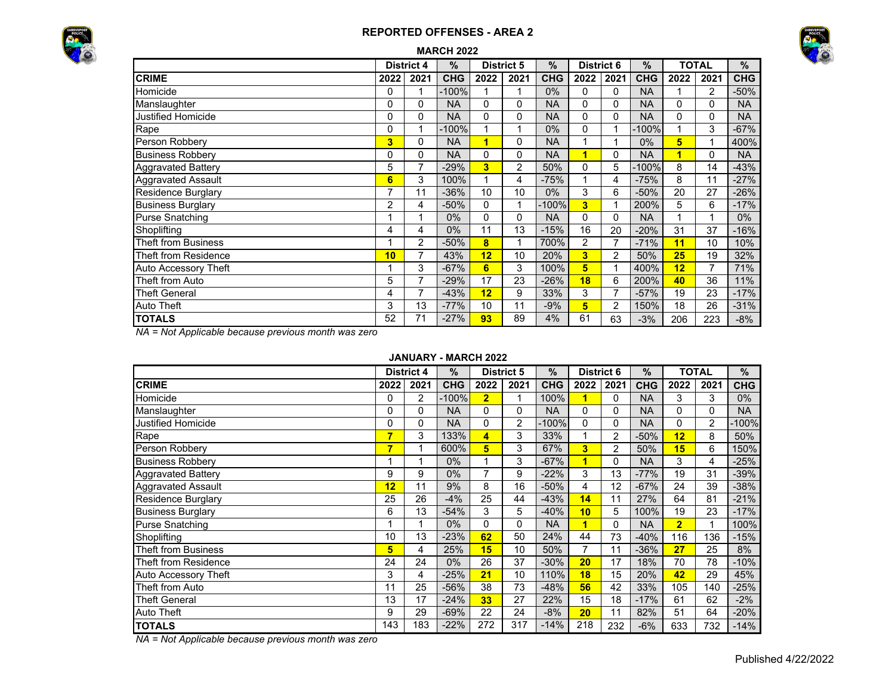## **REPORTED OFFENSES - AREA 2**





|  | <b>MARCH 2022</b> |
|--|-------------------|
|  |                   |

|                             |                | <b>District 4</b> | $\%$       |      | <b>District 5</b> | $\frac{9}{6}$ | <b>District 6</b>       |      | $\%$       |      | <b>TOTAL</b>   | $\%$       |
|-----------------------------|----------------|-------------------|------------|------|-------------------|---------------|-------------------------|------|------------|------|----------------|------------|
| <b>CRIME</b>                | 2022           | 2021              | <b>CHG</b> | 2022 | 2021              | <b>CHG</b>    | 2022                    | 2021 | <b>CHG</b> | 2022 | 2021           | <b>CHG</b> |
| Homicide                    | 0              |                   | $-100%$    |      |                   | $0\%$         | $\mathbf{0}$            | 0    | <b>NA</b>  |      | $\overline{2}$ | $-50%$     |
| Manslaughter                | 0              | 0                 | <b>NA</b>  | 0    | 0                 | <b>NA</b>     | $\Omega$                | 0    | NA         | 0    | $\Omega$       | <b>NA</b>  |
| Justified Homicide          | 0              | 0                 | <b>NA</b>  | 0    | 0                 | <b>NA</b>     | $\Omega$                | 0    | <b>NA</b>  | 0    | 0              | <b>NA</b>  |
| Rape                        | 0              | 1                 | $-100%$    | 1    | 1                 | $0\%$         | 0                       |      | $-100%$    |      | 3              | $-67%$     |
| Person Robbery              | 3              | 0                 | <b>NA</b>  | 1    | 0                 | <b>NA</b>     | 1                       |      | 0%         | 5    |                | 400%       |
| <b>Business Robbery</b>     | 0              | 0                 | <b>NA</b>  | 0    | 0                 | <b>NA</b>     | $\overline{\mathbf{1}}$ | 0    | <b>NA</b>  | 1    | $\Omega$       | <b>NA</b>  |
| <b>Aggravated Battery</b>   | 5              | 7                 | $-29%$     | 3    | 2                 | 50%           | 0                       | 5    | $-100%$    | 8    | 14             | $-43%$     |
| <b>Aggravated Assault</b>   | 6              | 3                 | 100%       | 1    | 4                 | $-75%$        | 1                       | 4    | $-75%$     | 8    | 11             | $-27%$     |
| <b>Residence Burglary</b>   | $\overline{7}$ | 11                | $-36%$     | 10   | 10                | $0\%$         | 3                       | 6    | $-50%$     | 20   | 27             | $-26%$     |
| <b>Business Burglary</b>    | $\overline{2}$ | 4                 | $-50%$     | 0    | 1                 | $-100%$       | 3                       |      | 200%       | 5    | 6              | $-17%$     |
| <b>Purse Snatching</b>      |                |                   | $0\%$      | 0    | 0                 | <b>NA</b>     | $\Omega$                | 0    | <b>NA</b>  |      |                | $0\%$      |
| Shoplifting                 | 4              | 4                 | $0\%$      | 11   | 13                | $-15%$        | 16                      | 20   | $-20%$     | 31   | 37             | $-16%$     |
| <b>Theft from Business</b>  |                | 2                 | $-50%$     | 8    | 1                 | 700%          | $\overline{2}$          |      | $-71%$     | 11   | 10             | 10%        |
| Theft from Residence        | 10             | 7                 | 43%        | 12   | 10                | 20%           | 3 <sup>1</sup>          | 2    | 50%        | 25   | 19             | 32%        |
| <b>Auto Accessory Theft</b> |                | 3                 | $-67%$     | 6    | 3                 | 100%          | 5                       |      | 400%       | 12   | 7              | 71%        |
| Theft from Auto             | 5              | 7                 | $-29%$     | 17   | 23                | $-26%$        | 18                      | 6    | 200%       | 40   | 36             | 11%        |
| <b>Theft General</b>        | 4              | 7                 | $-43%$     | 12   | 9                 | 33%           | 3                       | 7    | $-57%$     | 19   | 23             | $-17%$     |
| <b>Auto Theft</b>           | 3              | 13                | $-77%$     | 10   | 11                | $-9%$         | $5^{\circ}$             | 2    | 150%       | 18   | 26             | $-31%$     |
| <b>TOTALS</b>               | 52             | 71                | $-27%$     | 93   | 89                | 4%            | 61                      | 63   | $-3%$      | 206  | 223            | $-8%$      |

*NA = Not Applicable because previous month was zero*

#### **JANUARY - MARCH 2022**

|                             |      | <b>District 4</b> | $\%$       |                 | <b>District 5</b> | $\frac{9}{6}$ | <b>District 6</b> |      | %          |                | TOTAL          | %          |
|-----------------------------|------|-------------------|------------|-----------------|-------------------|---------------|-------------------|------|------------|----------------|----------------|------------|
| <b>CRIME</b>                | 2022 | 2021              | <b>CHG</b> | 2022            | 2021              | <b>CHG</b>    | 2022              | 2021 | <b>CHG</b> | 2022           | 2021           | <b>CHG</b> |
| Homicide                    | 0    | 2                 | $-100%$    | $\overline{2}$  |                   | 100%          | 1                 | 0    | <b>NA</b>  | 3              | 3              | $0\%$      |
| Manslaughter                | 0    | 0                 | <b>NA</b>  | 0               | 0                 | <b>NA</b>     | $\Omega$          | 0    | <b>NA</b>  | 0              | 0              | <b>NA</b>  |
| <b>Justified Homicide</b>   | 0    | 0                 | <b>NA</b>  | 0               | 2                 | $-100%$       | $\mathbf{0}$      | 0    | <b>NA</b>  | 0              | $\overline{2}$ | $-100%$    |
| Rape                        | 7    | 3                 | 133%       | 4               | 3                 | 33%           |                   | 2    | $-50%$     | 12             | 8              | 50%        |
| Person Robbery              | 7    | 1                 | 600%       | 5               | 3                 | 67%           | 3                 | 2    | 50%        | 15             | 6              | 150%       |
| <b>Business Robbery</b>     | 1    | 1                 | $0\%$      |                 | 3                 | $-67%$        | 1                 | 0    | <b>NA</b>  | 3              | 4              | $-25%$     |
| <b>Aggravated Battery</b>   | 9    | 9                 | 0%         | 7               | 9                 | $-22%$        | 3                 | 13   | $-77%$     | 19             | 31             | $-39%$     |
| <b>Aggravated Assault</b>   | 12   | 11                | 9%         | 8               | 16                | $-50%$        | 4                 | 12   | $-67%$     | 24             | 39             | $-38%$     |
| <b>Residence Burglary</b>   | 25   | 26                | $-4%$      | 25              | 44                | $-43%$        | 14                | 11   | 27%        | 64             | 81             | $-21%$     |
| <b>Business Burglary</b>    | 6    | 13                | $-54%$     | 3               | 5                 | $-40%$        | 10                | 5    | 100%       | 19             | 23             | $-17%$     |
| <b>Purse Snatching</b>      |      | 1                 | $0\%$      | 0               | 0                 | <b>NA</b>     | 1                 | 0    | <b>NA</b>  | $\overline{2}$ | 1              | 100%       |
| Shoplifting                 | 10   | 13                | $-23%$     | 62              | 50                | 24%           | 44                | 73   | $-40%$     | 116            | 136            | $-15%$     |
| <b>Theft from Business</b>  | 5    | 4                 | 25%        | 15              | 10                | 50%           |                   | 11   | $-36%$     | 27             | 25             | 8%         |
| <b>Theft from Residence</b> | 24   | 24                | 0%         | 26              | 37                | $-30%$        | 20                | 17   | 18%        | 70             | 78             | $-10%$     |
| Auto Accessory Theft        | 3    | 4                 | $-25%$     | 21              | 10                | 110%          | 18                | 15   | 20%        | 42             | 29             | 45%        |
| Theft from Auto             | 11   | 25                | $-56%$     | 38              | 73                | $-48%$        | 56                | 42   | 33%        | 105            | 140            | $-25%$     |
| <b>Theft General</b>        | 13   | 17                | $-24%$     | 33 <sup>5</sup> | 27                | 22%           | 15                | 18   | $-17%$     | 61             | 62             | $-2%$      |
| <b>Auto Theft</b>           | 9    | 29                | $-69%$     | 22              | 24                | $-8%$         | 20                | 11   | 82%        | 51             | 64             | $-20%$     |
| <b>TOTALS</b>               | 143  | 183               | $-22%$     | 272             | 317               | $-14%$        | 218               | 232  | $-6%$      | 633            | 732            | $-14%$     |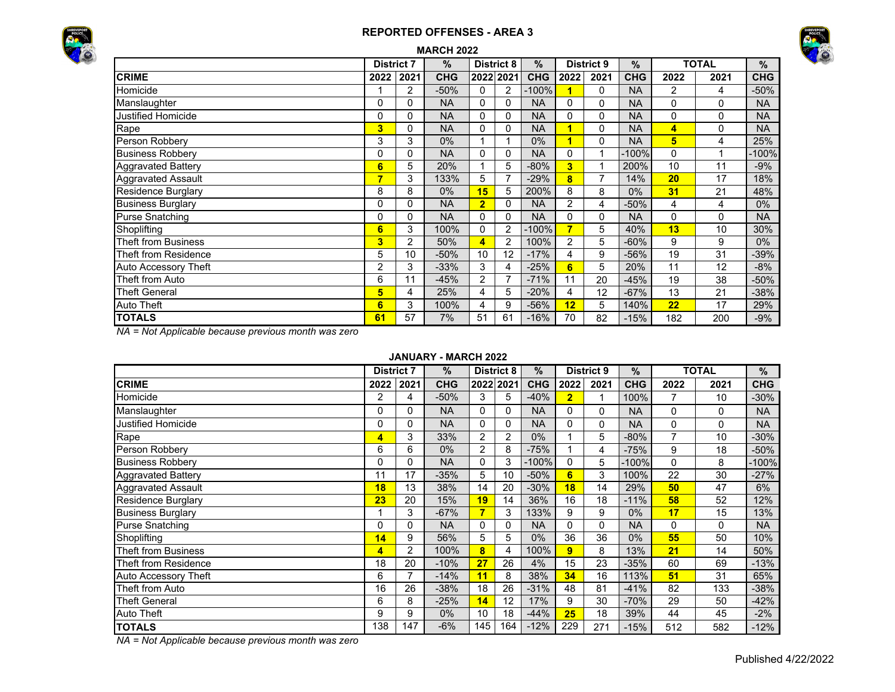### **REPORTED OFFENSES - AREA 3**





| <b>MARCH 2022</b><br><b>TOTAL</b><br>%<br><b>District 8</b><br>$\frac{9}{6}$<br><b>District 9</b><br>$\frac{0}{0}$<br><b>District 7</b> |      |          |            |                         |                |            |          |          |            |                         |      |            |  |  |
|-----------------------------------------------------------------------------------------------------------------------------------------|------|----------|------------|-------------------------|----------------|------------|----------|----------|------------|-------------------------|------|------------|--|--|
|                                                                                                                                         |      |          |            |                         |                |            |          |          |            |                         |      | $\%$       |  |  |
| <b>CRIME</b>                                                                                                                            | 2022 | 2021     | <b>CHG</b> | 2022 2021               |                | <b>CHG</b> | 2022     | 2021     | <b>CHG</b> | 2022                    | 2021 | <b>CHG</b> |  |  |
| Homicide                                                                                                                                |      | 2        | $-50%$     | 0                       | 2              | $-100%$    | 1        | $\Omega$ | <b>NA</b>  | $\overline{2}$          | 4    | $-50%$     |  |  |
| Manslaughter                                                                                                                            | 0    | 0        | <b>NA</b>  | 0                       | $\mathbf{0}$   | <b>NA</b>  | $\Omega$ | 0        | <b>NA</b>  | 0                       | 0    | <b>NA</b>  |  |  |
| <b>Justified Homicide</b>                                                                                                               | 0    | $\Omega$ | <b>NA</b>  | 0                       | 0              | <b>NA</b>  | $\Omega$ | 0        | <b>NA</b>  | 0                       | 0    | <b>NA</b>  |  |  |
| Rape                                                                                                                                    | 3    | $\Omega$ | <b>NA</b>  | 0                       | 0              | <b>NA</b>  | 1        | $\Omega$ | <b>NA</b>  | $\overline{\mathbf{4}}$ | 0    | <b>NA</b>  |  |  |
| Person Robbery                                                                                                                          | 3    | 3        | $0\%$      |                         |                | 0%         | 1        | 0        | <b>NA</b>  | 5                       | 4    | 25%        |  |  |
| <b>Business Robbery</b>                                                                                                                 | 0    | $\Omega$ | <b>NA</b>  | 0                       | $\Omega$       | <b>NA</b>  | $\Omega$ |          | $-100%$    | $\Omega$                |      | $-100%$    |  |  |
| <b>Aggravated Battery</b>                                                                                                               | 6    | 5        | 20%        |                         | 5              | $-80%$     | 3        |          | 200%       | 10                      | 11   | $-9%$      |  |  |
| Aggravated Assault                                                                                                                      | 7    | 3        | 133%       | 5                       | 7              | $-29%$     | 8        | 7        | 14%        | 20                      | 17   | 18%        |  |  |
| <b>Residence Burglary</b>                                                                                                               | 8    | 8        | 0%         | 15                      | 5              | 200%       | 8        | 8        | $0\%$      | 31                      | 21   | 48%        |  |  |
| <b>Business Burglary</b>                                                                                                                | 0    | $\Omega$ | <b>NA</b>  | $\overline{\mathbf{2}}$ | 0              | <b>NA</b>  | 2        | 4        | $-50%$     | 4                       | 4    | $0\%$      |  |  |
| Purse Snatching                                                                                                                         | 0    | $\Omega$ | <b>NA</b>  | 0                       | $\mathbf{0}$   | <b>NA</b>  | $\Omega$ | $\Omega$ | <b>NA</b>  | $\Omega$                | 0    | <b>NA</b>  |  |  |
| Shoplifting                                                                                                                             | 6    | 3        | 100%       | 0                       | 2              | $-100%$    | 7        | 5        | 40%        | 13                      | 10   | 30%        |  |  |
| <b>Theft from Business</b>                                                                                                              | 3    | 2        | 50%        | 4                       | 2              | 100%       | 2        | 5.       | $-60%$     | 9                       | 9    | $0\%$      |  |  |
| <b>Theft from Residence</b>                                                                                                             | 5    | 10       | $-50%$     | 10                      | 12             | $-17%$     | 4        | 9        | $-56%$     | 19                      | 31   | $-39%$     |  |  |
| Auto Accessory Theft                                                                                                                    | 2    | 3        | $-33%$     | 3                       | 4              | $-25%$     | 6        | 5        | 20%        | 11                      | 12   | $-8%$      |  |  |
| Theft from Auto                                                                                                                         | 6    | 11       | $-45%$     | 2                       | $\overline{7}$ | $-71%$     | 11       | 20       | $-45%$     | 19                      | 38   | $-50%$     |  |  |
| <b>Theft General</b>                                                                                                                    | 5    | 4        | 25%        | 4                       | 5              | $-20%$     | 4        | 12       | $-67%$     | 13                      | 21   | $-38%$     |  |  |
| Auto Theft                                                                                                                              | 6    | 3        | 100%       | 4                       | 9              | $-56%$     | 12       | 5        | 140%       | 22                      | 17   | 29%        |  |  |
| <b>TOTALS</b>                                                                                                                           | 61   | 57       | 7%         | 51                      | 61             | $-16%$     | 70       | 82       | $-15%$     | 182                     | 200  | $-9%$      |  |  |

*NA = Not Applicable because previous month was zero*

### **JANUARY - MARCH 2022**

|                            | <b>District 7</b> |                | $\%$       |                | <b>District 8</b> | $\%$       |                | <b>District 9</b> | $\%$       |                | <b>TOTAL</b> | %          |
|----------------------------|-------------------|----------------|------------|----------------|-------------------|------------|----------------|-------------------|------------|----------------|--------------|------------|
| <b>CRIME</b>               | 2022              | 2021           | <b>CHG</b> |                | 2022 2021         | <b>CHG</b> | 2022           | 2021              | <b>CHG</b> | 2022           | 2021         | <b>CHG</b> |
| Homicide                   | 2                 | 4              | $-50%$     | 3              | 5                 | $-40%$     | $\overline{2}$ |                   | 100%       | 7              | 10           | $-30%$     |
| Manslaughter               | 0                 | 0              | <b>NA</b>  | 0              | 0                 | <b>NA</b>  | 0              | 0                 | <b>NA</b>  | 0              | 0            | <b>NA</b>  |
| <b>Justified Homicide</b>  | 0                 | 0              | <b>NA</b>  | $\Omega$       | 0                 | <b>NA</b>  | 0              | $\Omega$          | <b>NA</b>  | 0              | 0            | <b>NA</b>  |
| Rape                       | 4                 | 3              | 33%        | $\overline{2}$ | $\overline{2}$    | $0\%$      |                | 5                 | $-80%$     | $\overline{7}$ | 10           | $-30%$     |
| Person Robbery             | 6                 | 6              | 0%         | 2              | 8                 | $-75%$     |                | 4                 | $-75%$     | 9              | 18           | $-50%$     |
| <b>Business Robbery</b>    | 0                 | 0              | <b>NA</b>  | $\Omega$       | 3                 | $-100%$    | $\Omega$       | 5                 | -100%      | $\Omega$       | 8            | $-100%$    |
| <b>Aggravated Battery</b>  | 11                | 17             | $-35%$     | 5              | 10                | $-50%$     | 6              | 3                 | 100%       | 22             | 30           | $-27%$     |
| <b>Aggravated Assault</b>  | 18                | 13             | 38%        | 14             | 20                | $-30%$     | 18             | 14                | 29%        | 50             | 47           | 6%         |
| Residence Burglary         | 23                | 20             | 15%        | 19             | 14                | 36%        | 16             | 18                | $-11%$     | 58             | 52           | 12%        |
| <b>Business Burglary</b>   |                   | 3              | $-67%$     | 7              | 3                 | 133%       | 9              | 9                 | $0\%$      | 17             | 15           | 13%        |
| Purse Snatching            | 0                 | 0              | <b>NA</b>  | $\Omega$       | 0                 | <b>NA</b>  | 0              | $\Omega$          | <b>NA</b>  | 0              | $\Omega$     | <b>NA</b>  |
| Shoplifting                | 14                | 9              | 56%        | 5              | 5                 | 0%         | 36             | 36                | $0\%$      | 55             | 50           | 10%        |
| <b>Theft from Business</b> | 4                 | $\overline{2}$ | 100%       | 8              | 4                 | 100%       | 9              | 8                 | 13%        | 21             | 14           | 50%        |
| Theft from Residence       | 18                | 20             | $-10%$     | 27             | 26                | 4%         | 15             | 23                | $-35%$     | 60             | 69           | $-13%$     |
| Auto Accessory Theft       | 6                 | $\overline{7}$ | $-14%$     | 11             | 8                 | 38%        | 34             | 16                | 113%       | 51             | 31           | 65%        |
| Theft from Auto            | 16                | 26             | $-38%$     | 18             | 26                | $-31%$     | 48             | 81                | $-41%$     | 82             | 133          | $-38%$     |
| Theft General              | 6                 | 8              | $-25%$     | 14             | 12                | 17%        | 9              | 30                | $-70%$     | 29             | 50           | $-42%$     |
| Auto Theft                 | 9                 | 9              | $0\%$      | 10             | 18                | $-44%$     | 25             | 18                | 39%        | 44             | 45           | $-2%$      |
| <b>TOTALS</b>              | 138               | 147            | $-6%$      | 145            | 164               | $-12%$     | 229            | 271               | $-15%$     | 512            | 582          | $-12%$     |